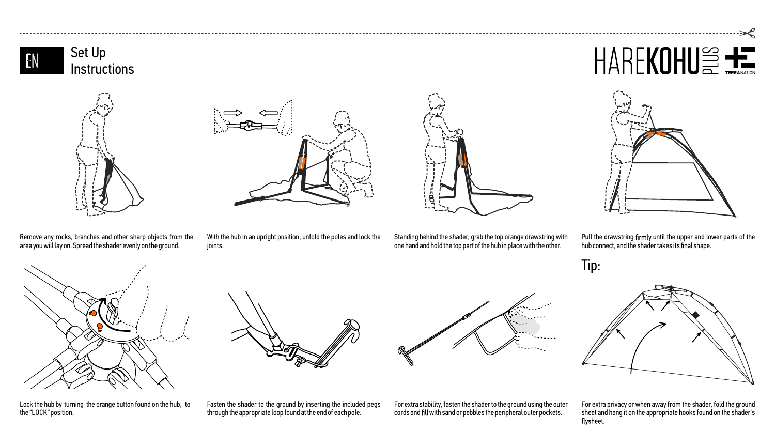



ioints.

With the hub in an upright position, unfold the poles and lock the

Standing behind the shader, grab the top orange drawstring with one hand and hold the top part of the hub in place with the other.

Pull the drawstring firmly until the upper and lower parts of the hub connect, and the shader takes its final shape.



Lock the hub by turning the orange button found on the hub, to the "LOCK" position.

Fasten the shader to the ground by inserting the included pegs through the appropriate loop found at the end of each pole.

For extra stability, fasten the shader to the ground using the outer cords and fill with sand or pebbles the peripheral outer pockets.





For extra privacy or when away from the shader, fold the ground sheet and hang it on the appropriate hooks found on the shader's